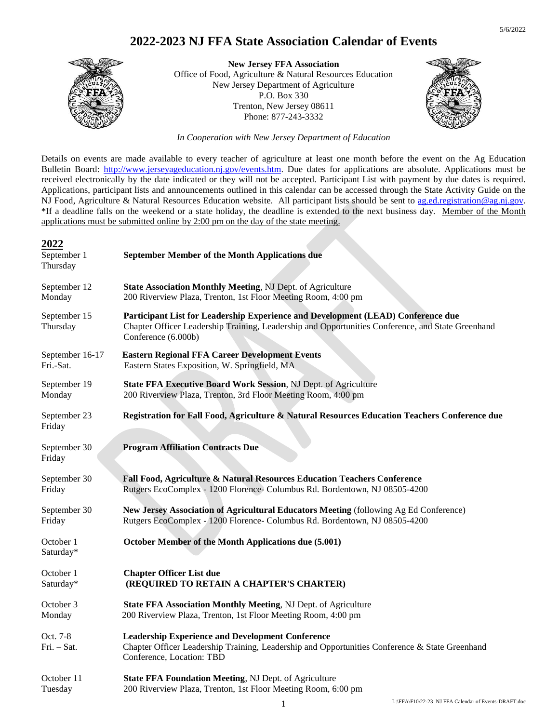

**New Jersey FFA Association** Office of Food, Agriculture & Natural Resources Education New Jersey Department of Agriculture P.O. Box 330 Trenton, New Jersey 08611 Phone: 877-243-3332



*In Cooperation with New Jersey Department of Education*

Details on events are made available to every teacher of agriculture at least one month before the event on the Ag Education Bulletin Board: [http://www.jerseyageducation.nj.gov/events.htm.](http://www.jerseyageducation.nj.gov/events.htm) Due dates for applications are absolute. Applications must be received electronically by the date indicated or they will not be accepted. Participant List with payment by due dates is required. Applications, participant lists and announcements outlined in this calendar can be accessed through the State Activity Guide on the NJ Food, Agriculture & Natural Resources Education website. All participant lists should be sent to [ag.ed.registration@ag.nj.gov.](mailto:ag.ed.registration@ag.nj.gov) \*If a deadline falls on the weekend or a state holiday, the deadline is extended to the next business day. Member of the Month applications must be submitted online by 2:00 pm on the day of the state meeting.

#### **2022**

| September 1<br>Thursday  | <b>September Member of the Month Applications due</b>                                                                                                                                                        |
|--------------------------|--------------------------------------------------------------------------------------------------------------------------------------------------------------------------------------------------------------|
| September 12             | State Association Monthly Meeting, NJ Dept. of Agriculture                                                                                                                                                   |
| Monday                   | 200 Riverview Plaza, Trenton, 1st Floor Meeting Room, 4:00 pm                                                                                                                                                |
| September 15<br>Thursday | Participant List for Leadership Experience and Development (LEAD) Conference due<br>Chapter Officer Leadership Training, Leadership and Opportunities Conference, and State Greenhand<br>Conference (6.000b) |
| September 16-17          | <b>Eastern Regional FFA Career Development Events</b>                                                                                                                                                        |
| Fri.-Sat.                | Eastern States Exposition, W. Springfield, MA                                                                                                                                                                |
| September 19             | State FFA Executive Board Work Session, NJ Dept. of Agriculture                                                                                                                                              |
| Monday                   | 200 Riverview Plaza, Trenton, 3rd Floor Meeting Room, 4:00 pm                                                                                                                                                |
| September 23<br>Friday   | Registration for Fall Food, Agriculture & Natural Resources Education Teachers Conference due                                                                                                                |
| September 30<br>Friday   | <b>Program Affiliation Contracts Due</b>                                                                                                                                                                     |
| September 30             | Fall Food, Agriculture & Natural Resources Education Teachers Conference                                                                                                                                     |
| Friday                   | Rutgers EcoComplex - 1200 Florence- Columbus Rd. Bordentown, NJ 08505-4200                                                                                                                                   |
| September 30             | New Jersey Association of Agricultural Educators Meeting (following Ag Ed Conference)                                                                                                                        |
| Friday                   | Rutgers EcoComplex - 1200 Florence- Columbus Rd. Bordentown, NJ 08505-4200                                                                                                                                   |
| October 1<br>Saturday*   | October Member of the Month Applications due (5.001)                                                                                                                                                         |
| October 1                | <b>Chapter Officer List due</b>                                                                                                                                                                              |
| Saturday*                | (REQUIRED TO RETAIN A CHAPTER'S CHARTER)                                                                                                                                                                     |
| October 3                | State FFA Association Monthly Meeting, NJ Dept. of Agriculture                                                                                                                                               |
| Monday                   | 200 Riverview Plaza, Trenton, 1st Floor Meeting Room, 4:00 pm                                                                                                                                                |
| Oct. 7-8<br>Fri. - Sat.  | <b>Leadership Experience and Development Conference</b><br>Chapter Officer Leadership Training, Leadership and Opportunities Conference & State Greenhand<br>Conference, Location: TBD                       |
| October 11               | State FFA Foundation Meeting, NJ Dept. of Agriculture                                                                                                                                                        |
| Tuesday                  | 200 Riverview Plaza, Trenton, 1st Floor Meeting Room, 6:00 pm                                                                                                                                                |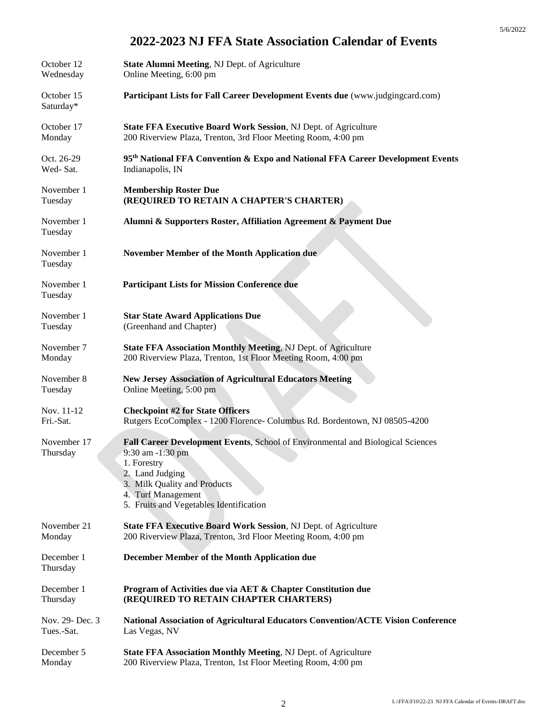| October 12              | State Alumni Meeting, NJ Dept. of Agriculture                                                                                                                                                                                                 |
|-------------------------|-----------------------------------------------------------------------------------------------------------------------------------------------------------------------------------------------------------------------------------------------|
| Wednesday               | Online Meeting, 6:00 pm                                                                                                                                                                                                                       |
| October 15<br>Saturday* | Participant Lists for Fall Career Development Events due (www.judgingcard.com)                                                                                                                                                                |
| October 17              | State FFA Executive Board Work Session, NJ Dept. of Agriculture                                                                                                                                                                               |
| Monday                  | 200 Riverview Plaza, Trenton, 3rd Floor Meeting Room, 4:00 pm                                                                                                                                                                                 |
| Oct. 26-29              | 95 <sup>th</sup> National FFA Convention & Expo and National FFA Career Development Events                                                                                                                                                    |
| Wed-Sat.                | Indianapolis, IN                                                                                                                                                                                                                              |
| November 1              | <b>Membership Roster Due</b>                                                                                                                                                                                                                  |
| Tuesday                 | (REQUIRED TO RETAIN A CHAPTER'S CHARTER)                                                                                                                                                                                                      |
| November 1<br>Tuesday   | Alumni & Supporters Roster, Affiliation Agreement & Payment Due                                                                                                                                                                               |
| November 1<br>Tuesday   | <b>November Member of the Month Application due</b>                                                                                                                                                                                           |
| November 1<br>Tuesday   | <b>Participant Lists for Mission Conference due</b>                                                                                                                                                                                           |
| November 1              | <b>Star State Award Applications Due</b>                                                                                                                                                                                                      |
| Tuesday                 | (Greenhand and Chapter)                                                                                                                                                                                                                       |
| November 7              | State FFA Association Monthly Meeting, NJ Dept. of Agriculture                                                                                                                                                                                |
| Monday                  | 200 Riverview Plaza, Trenton, 1st Floor Meeting Room, 4:00 pm                                                                                                                                                                                 |
| November 8              | <b>New Jersey Association of Agricultural Educators Meeting</b>                                                                                                                                                                               |
| Tuesday                 | Online Meeting, 5:00 pm                                                                                                                                                                                                                       |
| Nov. 11-12              | <b>Checkpoint #2 for State Officers</b>                                                                                                                                                                                                       |
| Fri.-Sat.               | Rutgers EcoComplex - 1200 Florence- Columbus Rd. Bordentown, NJ 08505-4200                                                                                                                                                                    |
| November 17<br>Thursday | <b>Fall Career Development Events, School of Environmental and Biological Sciences</b><br>9:30 am -1:30 pm<br>1. Forestry<br>2. Land Judging<br>3. Milk Quality and Products<br>4. Turf Management<br>5. Fruits and Vegetables Identification |
| November 21             | State FFA Executive Board Work Session, NJ Dept. of Agriculture                                                                                                                                                                               |
| Monday                  | 200 Riverview Plaza, Trenton, 3rd Floor Meeting Room, 4:00 pm                                                                                                                                                                                 |
| December 1<br>Thursday  | <b>December Member of the Month Application due</b>                                                                                                                                                                                           |
| December 1              | Program of Activities due via AET & Chapter Constitution due                                                                                                                                                                                  |
| Thursday                | (REQUIRED TO RETAIN CHAPTER CHARTERS)                                                                                                                                                                                                         |
| Nov. 29- Dec. 3         | National Association of Agricultural Educators Convention/ACTE Vision Conference                                                                                                                                                              |
| Tues.-Sat.              | Las Vegas, NV                                                                                                                                                                                                                                 |
| December 5              | <b>State FFA Association Monthly Meeting, NJ Dept. of Agriculture</b>                                                                                                                                                                         |
| Monday                  | 200 Riverview Plaza, Trenton, 1st Floor Meeting Room, 4:00 pm                                                                                                                                                                                 |

5/6/2022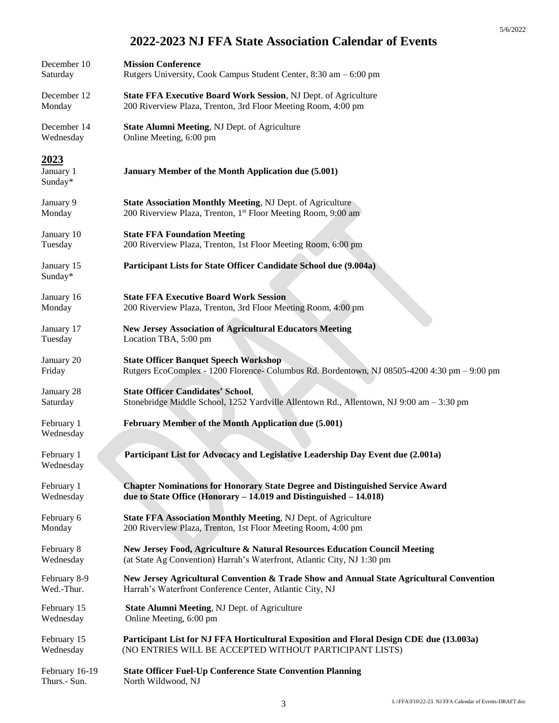| December 10                  | <b>Mission Conference</b>                                                                    |
|------------------------------|----------------------------------------------------------------------------------------------|
| Saturday                     | Rutgers University, Cook Campus Student Center, 8:30 am - 6:00 pm                            |
| December 12                  | State FFA Executive Board Work Session, NJ Dept. of Agriculture                              |
| Monday                       | 200 Riverview Plaza, Trenton, 3rd Floor Meeting Room, 4:00 pm                                |
| December 14                  | State Alumni Meeting, NJ Dept. of Agriculture                                                |
| Wednesday                    | Online Meeting, 6:00 pm                                                                      |
| 2023<br>January 1<br>Sunday* | January Member of the Month Application due (5.001)                                          |
| January 9                    | <b>State Association Monthly Meeting, NJ Dept. of Agriculture</b>                            |
| Monday                       | 200 Riverview Plaza, Trenton, 1 <sup>st</sup> Floor Meeting Room, 9:00 am                    |
| January 10                   | <b>State FFA Foundation Meeting</b>                                                          |
| Tuesday                      | 200 Riverview Plaza, Trenton, 1st Floor Meeting Room, 6:00 pm                                |
| January 15<br>Sunday*        | Participant Lists for State Officer Candidate School due (9.004a)                            |
| January 16                   | <b>State FFA Executive Board Work Session</b>                                                |
| Monday                       | 200 Riverview Plaza, Trenton, 3rd Floor Meeting Room, 4:00 pm                                |
| January 17                   | <b>New Jersey Association of Agricultural Educators Meeting</b>                              |
| Tuesday                      | Location TBA, 5:00 pm                                                                        |
| January 20                   | <b>State Officer Banquet Speech Workshop</b>                                                 |
| Friday                       | Rutgers EcoComplex - 1200 Florence- Columbus Rd. Bordentown, NJ 08505-4200 4:30 pm - 9:00 pm |
| January 28                   | <b>State Officer Candidates' School,</b>                                                     |
| Saturday                     | Stonebridge Middle School, 1252 Yardville Allentown Rd., Allentown, NJ 9:00 am - 3:30 pm     |
| February 1<br>Wednesday      | February Member of the Month Application due (5.001)                                         |
| February 1<br>Wednesdav      | Participant List for Advocacy and Legislative Leadership Day Event due (2.001a)              |
| February 1                   | <b>Chapter Nominations for Honorary State Degree and Distinguished Service Award</b>         |
| Wednesday                    | due to State Office (Honorary $-14.019$ and Distinguished $-14.018$ )                        |
| February 6                   | <b>State FFA Association Monthly Meeting, NJ Dept. of Agriculture</b>                        |
| Monday                       | 200 Riverview Plaza, Trenton, 1st Floor Meeting Room, 4:00 pm                                |
| February 8                   | New Jersey Food, Agriculture & Natural Resources Education Council Meeting                   |
| Wednesday                    | (at State Ag Convention) Harrah's Waterfront, Atlantic City, NJ 1:30 pm                      |
| February 8-9                 | New Jersey Agricultural Convention & Trade Show and Annual State Agricultural Convention     |
| Wed.-Thur.                   | Harrah's Waterfront Conference Center, Atlantic City, NJ                                     |
| February 15                  | <b>State Alumni Meeting, NJ Dept. of Agriculture</b>                                         |
| Wednesday                    | Online Meeting, 6:00 pm                                                                      |
| February 15                  | Participant List for NJ FFA Horticultural Exposition and Floral Design CDE due (13.003a)     |
| Wednesday                    | (NO ENTRIES WILL BE ACCEPTED WITHOUT PARTICIPANT LISTS)                                      |
| February 16-19               | <b>State Officer Fuel-Up Conference State Convention Planning</b>                            |
| Thurs.- Sun.                 | North Wildwood, NJ                                                                           |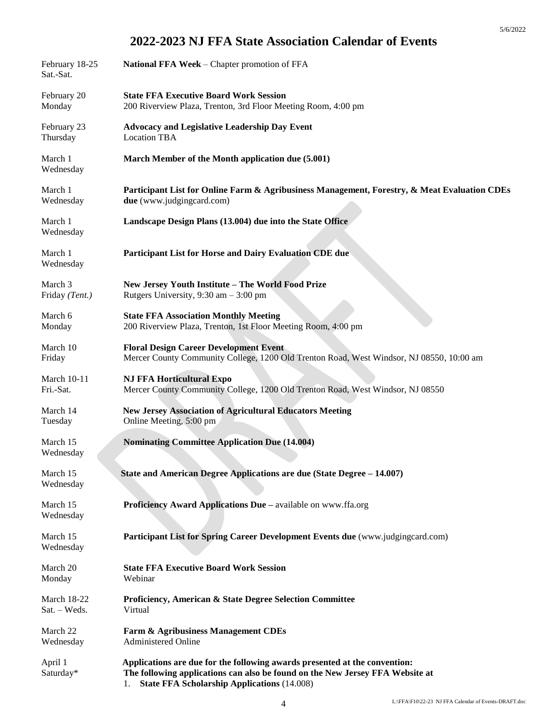| February 18-25<br>Sat.-Sat. | National FFA Week - Chapter promotion of FFA                                                                                                                                                                            |
|-----------------------------|-------------------------------------------------------------------------------------------------------------------------------------------------------------------------------------------------------------------------|
| February 20                 | <b>State FFA Executive Board Work Session</b>                                                                                                                                                                           |
| Monday                      | 200 Riverview Plaza, Trenton, 3rd Floor Meeting Room, 4:00 pm                                                                                                                                                           |
| February 23                 | <b>Advocacy and Legislative Leadership Day Event</b>                                                                                                                                                                    |
| Thursday                    | <b>Location TBA</b>                                                                                                                                                                                                     |
| March 1<br>Wednesday        | March Member of the Month application due (5.001)                                                                                                                                                                       |
| March 1                     | Participant List for Online Farm & Agribusiness Management, Forestry, & Meat Evaluation CDEs                                                                                                                            |
| Wednesday                   | due (www.judgingcard.com)                                                                                                                                                                                               |
| March 1<br>Wednesday        | Landscape Design Plans (13.004) due into the State Office                                                                                                                                                               |
| March 1<br>Wednesday        | Participant List for Horse and Dairy Evaluation CDE due                                                                                                                                                                 |
| March 3                     | New Jersey Youth Institute - The World Food Prize                                                                                                                                                                       |
| Friday (Tent.)              | Rutgers University, $9:30 \text{ am} - 3:00 \text{ pm}$                                                                                                                                                                 |
| March 6                     | <b>State FFA Association Monthly Meeting</b>                                                                                                                                                                            |
| Monday                      | 200 Riverview Plaza, Trenton, 1st Floor Meeting Room, 4:00 pm                                                                                                                                                           |
| March 10                    | <b>Floral Design Career Development Event</b>                                                                                                                                                                           |
| Friday                      | Mercer County Community College, 1200 Old Trenton Road, West Windsor, NJ 08550, 10:00 am                                                                                                                                |
| <b>March 10-11</b>          | <b>NJ FFA Horticultural Expo</b>                                                                                                                                                                                        |
| Fri.-Sat.                   | Mercer County Community College, 1200 Old Trenton Road, West Windsor, NJ 08550                                                                                                                                          |
| March 14                    | <b>New Jersey Association of Agricultural Educators Meeting</b>                                                                                                                                                         |
| Tuesday                     | Online Meeting, 5:00 pm                                                                                                                                                                                                 |
| March 15<br>Wednesday       | <b>Nominating Committee Application Due (14.004)</b>                                                                                                                                                                    |
| March 15<br>Wednesday       | State and American Degree Applications are due (State Degree – 14.007)                                                                                                                                                  |
| March 15<br>Wednesday       | Proficiency Award Applications Due - available on www.ffa.org                                                                                                                                                           |
| March 15<br>Wednesday       | Participant List for Spring Career Development Events due (www.judgingcard.com)                                                                                                                                         |
| March 20                    | <b>State FFA Executive Board Work Session</b>                                                                                                                                                                           |
| Monday                      | Webinar                                                                                                                                                                                                                 |
| <b>March 18-22</b>          | <b>Proficiency, American &amp; State Degree Selection Committee</b>                                                                                                                                                     |
| $Sat. - Weds.$              | Virtual                                                                                                                                                                                                                 |
| March 22                    | Farm & Agribusiness Management CDEs                                                                                                                                                                                     |
| Wednesday                   | <b>Administered Online</b>                                                                                                                                                                                              |
| April 1<br>Saturday*        | Applications are due for the following awards presented at the convention:<br>The following applications can also be found on the New Jersey FFA Website at<br><b>State FFA Scholarship Applications (14.008)</b><br>1. |

5/6/2022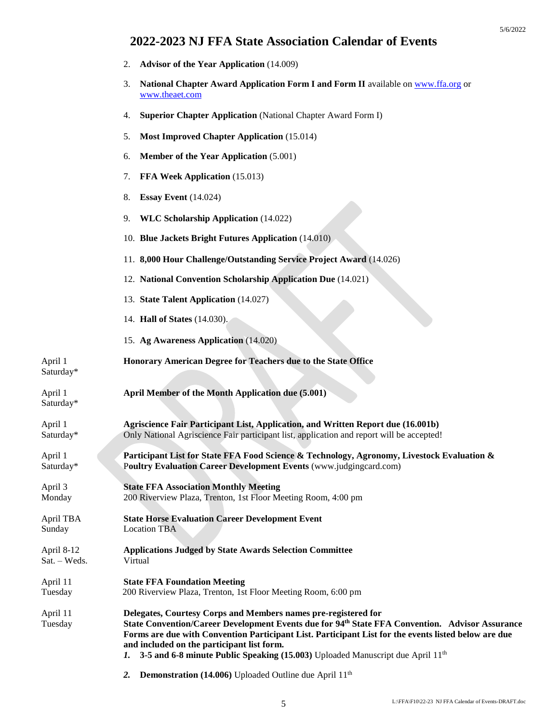- 2. **Advisor of the Year Application** (14.009)
- 3. **National Chapter Award Application Form I and Form II** available on [www.ffa.org](http://www.ffa.org/) or [www.theaet.com](http://www.theaet.com/)
- 4. **Superior Chapter Application** (National Chapter Award Form I)
- 5. **Most Improved Chapter Application** (15.014)
- 6. **Member of the Year Application** (5.001)
- 7. **FFA Week Application** (15.013)
- 8. **Essay Event** (14.024)
- 9. **WLC Scholarship Application** (14.022)
- 10. **Blue Jackets Bright Futures Application** (14.010)
- 11. **8,000 Hour Challenge/Outstanding Service Project Award** (14.026)
- 12. **National Convention Scholarship Application Due** (14.021)
- 13. **State Talent Application** (14.027)
- 14. **Hall of States** (14.030).

Saturday\*

Saturday\*

15. **Ag Awareness Application** (14.020)

April 1 **Honorary American Degree for Teachers due to the State Office**

- April 1 **April Member of the Month Application due (5.001)**
- April 1 **Agriscience Fair Participant List, Application, and Written Report due (16.001b)** Saturday\* Only National Agriscience Fair participant list, application and report will be accepted!
- April 1 **Participant List for State FFA Food Science & Technology, Agronomy, Livestock Evaluation &**  Saturday\* P**oultry Evaluation Career Development Events** (www.judgingcard.com)
- April 3 **State FFA Association Monthly Meeting** Monday 200 Riverview Plaza, Trenton, 1st Floor Meeting Room, 4:00 pm
- April TBA **State Horse Evaluation Career Development Event** Sunday Location TBA
- April 8-12 **Applications Judged by State Awards Selection Committee** Sat. – Weds. Virtual
- April 11 **State FFA Foundation Meeting**
- Tuesday 200 Riverview Plaza, Trenton, 1st Floor Meeting Room, 6:00 pm
- April 11 **Delegates, Courtesy Corps and Members names pre-registered for** Tuesday **State Convention/Career Development Events due for 94 th State FFA Convention. Advisor Assurance Forms are due with Convention Participant List. Participant List for the events listed below are due and included on the participant list form.**
	- **1. 3-5 and 6-8 minute Public Speaking (15.003)** Uploaded Manuscript due April 11<sup>th</sup>
	- 2. **Demonstration (14.006)** Uploaded Outline due April 11<sup>th</sup>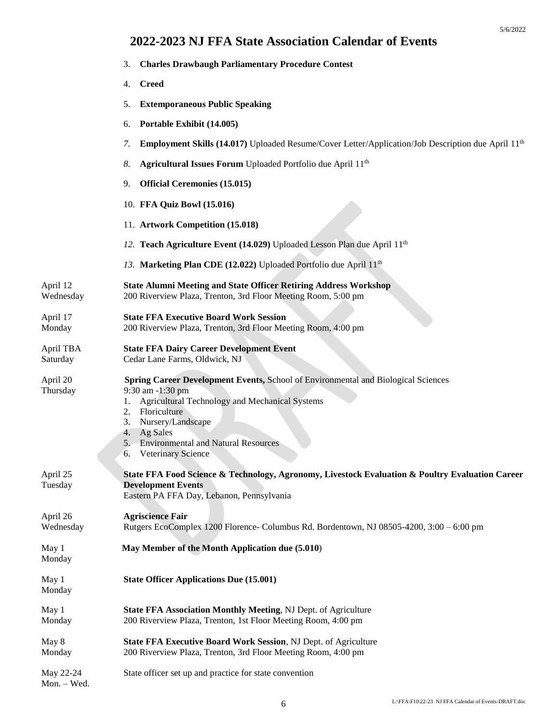|                       | <b>Charles Drawbaugh Parliamentary Procedure Contest</b><br>3.                                                                                                                                                                                                                                                |
|-----------------------|---------------------------------------------------------------------------------------------------------------------------------------------------------------------------------------------------------------------------------------------------------------------------------------------------------------|
|                       | <b>Creed</b><br>4.                                                                                                                                                                                                                                                                                            |
|                       | <b>Extemporaneous Public Speaking</b><br>5.                                                                                                                                                                                                                                                                   |
|                       | Portable Exhibit (14.005)<br>6.                                                                                                                                                                                                                                                                               |
|                       | <b>Employment Skills (14.017)</b> Uploaded Resume/Cover Letter/Application/Job Description due April 11 <sup>th</sup><br>7.                                                                                                                                                                                   |
|                       | Agricultural Issues Forum Uploaded Portfolio due April 11 <sup>th</sup><br>8.                                                                                                                                                                                                                                 |
|                       | <b>Official Ceremonies (15.015)</b><br>9.                                                                                                                                                                                                                                                                     |
|                       | 10. FFA Quiz Bowl (15.016)                                                                                                                                                                                                                                                                                    |
|                       | 11. Artwork Competition (15.018)                                                                                                                                                                                                                                                                              |
|                       | 12. Teach Agriculture Event (14.029) Uploaded Lesson Plan due April 11 <sup>th</sup>                                                                                                                                                                                                                          |
|                       | 13. Marketing Plan CDE (12.022) Uploaded Portfolio due April 11 <sup>th</sup>                                                                                                                                                                                                                                 |
| April 12<br>Wednesday | <b>State Alumni Meeting and State Officer Retiring Address Workshop</b><br>200 Riverview Plaza, Trenton, 3rd Floor Meeting Room, 5:00 pm                                                                                                                                                                      |
| April 17<br>Monday    | <b>State FFA Executive Board Work Session</b><br>200 Riverview Plaza, Trenton, 3rd Floor Meeting Room, 4:00 pm                                                                                                                                                                                                |
| April TBA<br>Saturday | <b>State FFA Dairy Career Development Event</b><br>Cedar Lane Farms, Oldwick, NJ                                                                                                                                                                                                                              |
| April 20<br>Thursday  | Spring Career Development Events, School of Environmental and Biological Sciences<br>9:30 am -1:30 pm<br><b>Agricultural Technology and Mechanical Systems</b><br>1.<br>Floriculture<br>2.<br>Nursery/Landscape<br>3.<br>Ag Sales<br>4.<br>5. Environmental and Natural Resources<br>Veterinary Science<br>6. |
| April 25<br>Tuesday   | State FFA Food Science & Technology, Agronomy, Livestock Evaluation & Poultry Evaluation Career<br><b>Development Events</b><br>Eastern PA FFA Day, Lebanon, Pennsylvania                                                                                                                                     |
| April 26<br>Wednesday | <b>Agriscience Fair</b><br>Rutgers EcoComplex 1200 Florence- Columbus Rd. Bordentown, NJ 08505-4200, 3:00 – 6:00 pm                                                                                                                                                                                           |
| May 1<br>Monday       | May Member of the Month Application due (5.010)                                                                                                                                                                                                                                                               |
| May 1<br>Monday       | <b>State Officer Applications Due (15.001)</b>                                                                                                                                                                                                                                                                |
| May 1<br>Monday       | State FFA Association Monthly Meeting, NJ Dept. of Agriculture<br>200 Riverview Plaza, Trenton, 1st Floor Meeting Room, 4:00 pm                                                                                                                                                                               |
| May 8<br>Monday       | State FFA Executive Board Work Session, NJ Dept. of Agriculture<br>200 Riverview Plaza, Trenton, 3rd Floor Meeting Room, 4:00 pm                                                                                                                                                                              |
| May 22-24             | State officer set up and practice for state convention                                                                                                                                                                                                                                                        |

Mon. – Wed.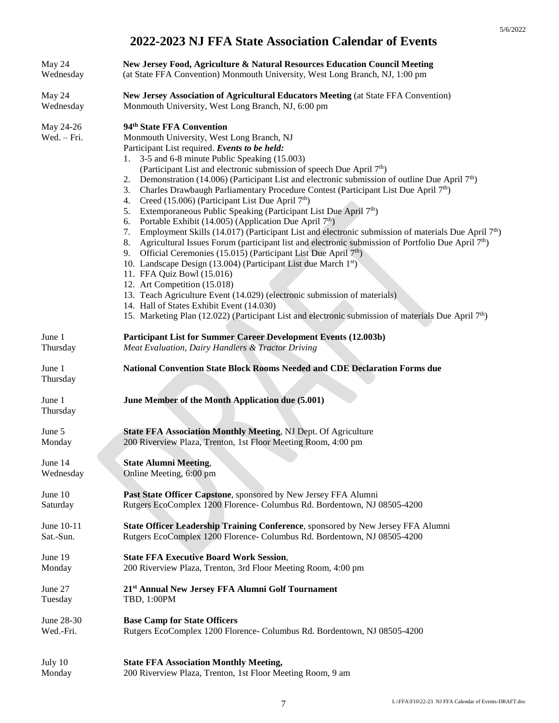| May 24                   | New Jersey Food, Agriculture & Natural Resources Education Council Meeting                                                                                                                                                                                                                                                                                                                                                                                                                                                                                                                                                                                                                                                                                                                                                                                                                                                                                                                                                                                                                                                                                                                                                                                                                                                                                                                                                                                    |
|--------------------------|---------------------------------------------------------------------------------------------------------------------------------------------------------------------------------------------------------------------------------------------------------------------------------------------------------------------------------------------------------------------------------------------------------------------------------------------------------------------------------------------------------------------------------------------------------------------------------------------------------------------------------------------------------------------------------------------------------------------------------------------------------------------------------------------------------------------------------------------------------------------------------------------------------------------------------------------------------------------------------------------------------------------------------------------------------------------------------------------------------------------------------------------------------------------------------------------------------------------------------------------------------------------------------------------------------------------------------------------------------------------------------------------------------------------------------------------------------------|
| Wednesday                | (at State FFA Convention) Monmouth University, West Long Branch, NJ, 1:00 pm                                                                                                                                                                                                                                                                                                                                                                                                                                                                                                                                                                                                                                                                                                                                                                                                                                                                                                                                                                                                                                                                                                                                                                                                                                                                                                                                                                                  |
| May 24                   | New Jersey Association of Agricultural Educators Meeting (at State FFA Convention)                                                                                                                                                                                                                                                                                                                                                                                                                                                                                                                                                                                                                                                                                                                                                                                                                                                                                                                                                                                                                                                                                                                                                                                                                                                                                                                                                                            |
| Wednesday                | Monmouth University, West Long Branch, NJ, 6:00 pm                                                                                                                                                                                                                                                                                                                                                                                                                                                                                                                                                                                                                                                                                                                                                                                                                                                                                                                                                                                                                                                                                                                                                                                                                                                                                                                                                                                                            |
| May 24-26<br>Wed. – Fri. | 94 <sup>th</sup> State FFA Convention<br>Monmouth University, West Long Branch, NJ<br>Participant List required. Events to be held:<br>3-5 and 6-8 minute Public Speaking (15.003)<br>l.<br>(Participant List and electronic submission of speech Due April 7 <sup>th</sup> )<br>Demonstration (14.006) (Participant List and electronic submission of outline Due April 7 <sup>th</sup> )<br>2.<br>Charles Drawbaugh Parliamentary Procedure Contest (Participant List Due April 7 <sup>th</sup> )<br>3.<br>Creed (15.006) (Participant List Due April $7th$ )<br>4.<br>Extemporaneous Public Speaking (Participant List Due April 7 <sup>th</sup> )<br>5.<br>Portable Exhibit (14.005) (Application Due April 7 <sup>th</sup> )<br>6.<br>Employment Skills (14.017) (Participant List and electronic submission of materials Due April $7th$ )<br>7.<br>Agricultural Issues Forum (participant list and electronic submission of Portfolio Due April 7 <sup>th</sup> )<br>8.<br>Official Ceremonies (15.015) (Participant List Due April 7 <sup>th</sup> )<br>9.<br>10. Landscape Design (13.004) (Participant List due March 1 <sup>st</sup> )<br>11. FFA Quiz Bowl (15.016)<br>12. Art Competition (15.018)<br>13. Teach Agriculture Event (14.029) (electronic submission of materials)<br>14. Hall of States Exhibit Event (14.030)<br>15. Marketing Plan (12.022) (Participant List and electronic submission of materials Due April 7 <sup>th</sup> ) |
| June 1                   | Participant List for Summer Career Development Events (12.003b)                                                                                                                                                                                                                                                                                                                                                                                                                                                                                                                                                                                                                                                                                                                                                                                                                                                                                                                                                                                                                                                                                                                                                                                                                                                                                                                                                                                               |
| Thursday                 | Meat Evaluation, Dairy Handlers & Tractor Driving                                                                                                                                                                                                                                                                                                                                                                                                                                                                                                                                                                                                                                                                                                                                                                                                                                                                                                                                                                                                                                                                                                                                                                                                                                                                                                                                                                                                             |
| June 1<br>Thursday       | National Convention State Block Rooms Needed and CDE Declaration Forms due                                                                                                                                                                                                                                                                                                                                                                                                                                                                                                                                                                                                                                                                                                                                                                                                                                                                                                                                                                                                                                                                                                                                                                                                                                                                                                                                                                                    |
| June 1<br>Thursday       | June Member of the Month Application due (5.001)                                                                                                                                                                                                                                                                                                                                                                                                                                                                                                                                                                                                                                                                                                                                                                                                                                                                                                                                                                                                                                                                                                                                                                                                                                                                                                                                                                                                              |
| June 5                   | <b>State FFA Association Monthly Meeting, NJ Dept. Of Agriculture</b>                                                                                                                                                                                                                                                                                                                                                                                                                                                                                                                                                                                                                                                                                                                                                                                                                                                                                                                                                                                                                                                                                                                                                                                                                                                                                                                                                                                         |
| Monday                   | 200 Riverview Plaza, Trenton, 1st Floor Meeting Room, 4:00 pm                                                                                                                                                                                                                                                                                                                                                                                                                                                                                                                                                                                                                                                                                                                                                                                                                                                                                                                                                                                                                                                                                                                                                                                                                                                                                                                                                                                                 |
| June 14                  | <b>State Alumni Meeting,</b>                                                                                                                                                                                                                                                                                                                                                                                                                                                                                                                                                                                                                                                                                                                                                                                                                                                                                                                                                                                                                                                                                                                                                                                                                                                                                                                                                                                                                                  |
| Wednesday                | Online Meeting, 6:00 pm                                                                                                                                                                                                                                                                                                                                                                                                                                                                                                                                                                                                                                                                                                                                                                                                                                                                                                                                                                                                                                                                                                                                                                                                                                                                                                                                                                                                                                       |
| June 10                  | Past State Officer Capstone, sponsored by New Jersey FFA Alumni                                                                                                                                                                                                                                                                                                                                                                                                                                                                                                                                                                                                                                                                                                                                                                                                                                                                                                                                                                                                                                                                                                                                                                                                                                                                                                                                                                                               |
| Saturday                 | Rutgers EcoComplex 1200 Florence- Columbus Rd. Bordentown, NJ 08505-4200                                                                                                                                                                                                                                                                                                                                                                                                                                                                                                                                                                                                                                                                                                                                                                                                                                                                                                                                                                                                                                                                                                                                                                                                                                                                                                                                                                                      |
| June 10-11               | State Officer Leadership Training Conference, sponsored by New Jersey FFA Alumni                                                                                                                                                                                                                                                                                                                                                                                                                                                                                                                                                                                                                                                                                                                                                                                                                                                                                                                                                                                                                                                                                                                                                                                                                                                                                                                                                                              |
| Sat.-Sun.                | Rutgers EcoComplex 1200 Florence- Columbus Rd. Bordentown, NJ 08505-4200                                                                                                                                                                                                                                                                                                                                                                                                                                                                                                                                                                                                                                                                                                                                                                                                                                                                                                                                                                                                                                                                                                                                                                                                                                                                                                                                                                                      |
| June 19                  | <b>State FFA Executive Board Work Session,</b>                                                                                                                                                                                                                                                                                                                                                                                                                                                                                                                                                                                                                                                                                                                                                                                                                                                                                                                                                                                                                                                                                                                                                                                                                                                                                                                                                                                                                |
| Monday                   | 200 Riverview Plaza, Trenton, 3rd Floor Meeting Room, 4:00 pm                                                                                                                                                                                                                                                                                                                                                                                                                                                                                                                                                                                                                                                                                                                                                                                                                                                                                                                                                                                                                                                                                                                                                                                                                                                                                                                                                                                                 |
| June 27                  | 21 <sup>st</sup> Annual New Jersey FFA Alumni Golf Tournament                                                                                                                                                                                                                                                                                                                                                                                                                                                                                                                                                                                                                                                                                                                                                                                                                                                                                                                                                                                                                                                                                                                                                                                                                                                                                                                                                                                                 |
| Tuesday                  | TBD, 1:00PM                                                                                                                                                                                                                                                                                                                                                                                                                                                                                                                                                                                                                                                                                                                                                                                                                                                                                                                                                                                                                                                                                                                                                                                                                                                                                                                                                                                                                                                   |
| June 28-30               | <b>Base Camp for State Officers</b>                                                                                                                                                                                                                                                                                                                                                                                                                                                                                                                                                                                                                                                                                                                                                                                                                                                                                                                                                                                                                                                                                                                                                                                                                                                                                                                                                                                                                           |
| Wed.-Fri.                | Rutgers EcoComplex 1200 Florence- Columbus Rd. Bordentown, NJ 08505-4200                                                                                                                                                                                                                                                                                                                                                                                                                                                                                                                                                                                                                                                                                                                                                                                                                                                                                                                                                                                                                                                                                                                                                                                                                                                                                                                                                                                      |
| July 10                  | <b>State FFA Association Monthly Meeting,</b>                                                                                                                                                                                                                                                                                                                                                                                                                                                                                                                                                                                                                                                                                                                                                                                                                                                                                                                                                                                                                                                                                                                                                                                                                                                                                                                                                                                                                 |
| Monday                   | 200 Riverview Plaza, Trenton, 1st Floor Meeting Room, 9 am                                                                                                                                                                                                                                                                                                                                                                                                                                                                                                                                                                                                                                                                                                                                                                                                                                                                                                                                                                                                                                                                                                                                                                                                                                                                                                                                                                                                    |

5/6/2022